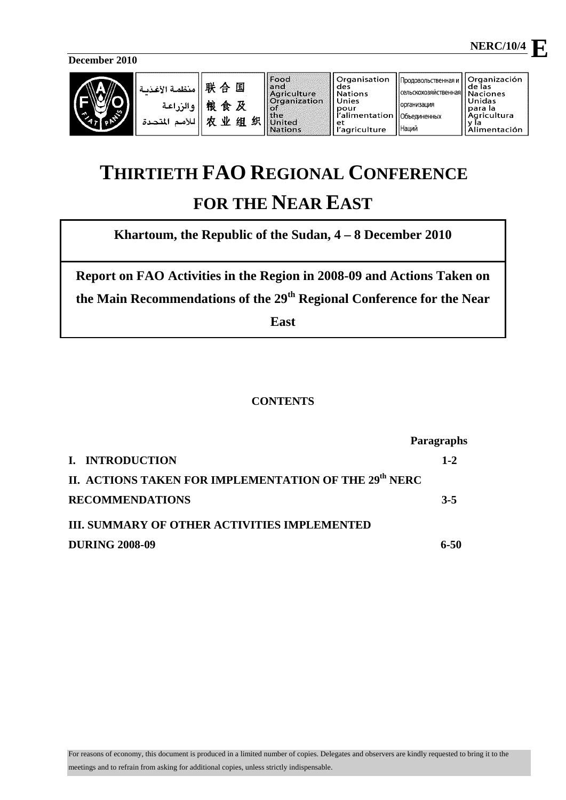**December 2010** 



|  | منظمـة الأغــزمـة<br>  والزراعة<br>اللأمد<br>المتحدة | 联合国<br>粮食及<br>出<br>业 | 织<br>组 | <b>Food</b><br>l and<br>Aariculture<br><b>Organization</b><br><b>For</b><br>$ $ the<br><b>United</b><br><b>Nations</b> | Organisation<br>des<br>l Nations<br>Unies<br>pour<br>i <sup>l'</sup> alimentation   Объединенных<br>et<br>l'agriculture | Продовольственная и    Organización<br>I Ісельскохозяйственная I<br>Порганизация<br>I Наций | de las<br><b>Naciones</b><br>Unidas<br>para la<br>Agricultura<br>Alimentación |
|--|------------------------------------------------------|----------------------|--------|------------------------------------------------------------------------------------------------------------------------|-------------------------------------------------------------------------------------------------------------------------|---------------------------------------------------------------------------------------------|-------------------------------------------------------------------------------|
|--|------------------------------------------------------|----------------------|--------|------------------------------------------------------------------------------------------------------------------------|-------------------------------------------------------------------------------------------------------------------------|---------------------------------------------------------------------------------------------|-------------------------------------------------------------------------------|

# **THIRTIETH FAO REGIONAL CONFERENCE FOR THE NEAR EAST**

**Khartoum, the Republic of the Sudan, 4 – 8 December 2010** 

**Report on FAO Activities in the Region in 2008-09 and Actions Taken on the Main Recommendations of the 29th Regional Conference for the Near** 

**East** 

## **CONTENTS**

|                                                                   | <b>Paragraphs</b> |  |  |
|-------------------------------------------------------------------|-------------------|--|--|
| I. INTRODUCTION                                                   | $1 - 2$           |  |  |
| II. ACTIONS TAKEN FOR IMPLEMENTATION OF THE 29 <sup>th</sup> NERC |                   |  |  |
| <b>RECOMMENDATIONS</b>                                            | $3 - 5$           |  |  |
| <b>III. SUMMARY OF OTHER ACTIVITIES IMPLEMENTED</b>               |                   |  |  |
| <b>DURING 2008-09</b>                                             | 6-50              |  |  |

 **NERC/10/4** 

n r

**E**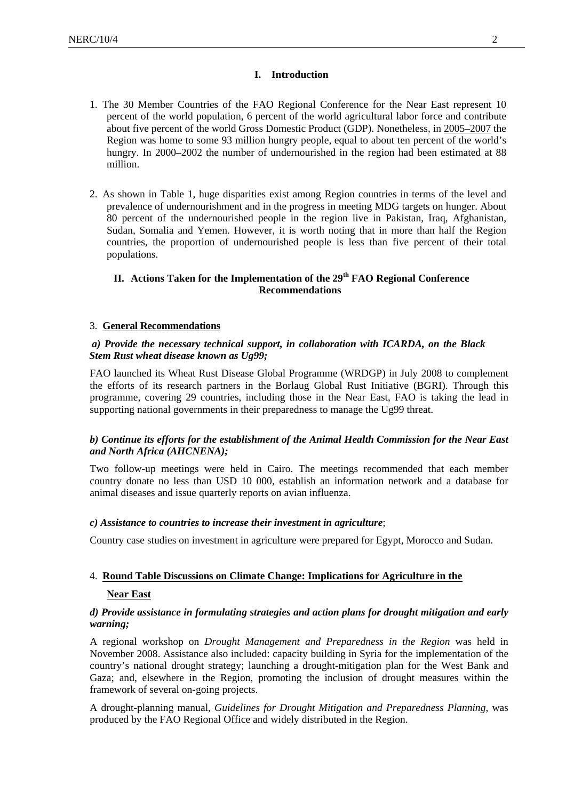#### **I. Introduction**

- 1. The 30 Member Countries of the FAO Regional Conference for the Near East represent 10 percent of the world population, 6 percent of the world agricultural labor force and contribute about five percent of the world Gross Domestic Product (GDP). Nonetheless, in 2005–2007 the Region was home to some 93 million hungry people, equal to about ten percent of the world's hungry. In 2000–2002 the number of undernourished in the region had been estimated at 88 million.
- 2. As shown in Table 1, huge disparities exist among Region countries in terms of the level and prevalence of undernourishment and in the progress in meeting MDG targets on hunger. About 80 percent of the undernourished people in the region live in Pakistan, Iraq, Afghanistan, Sudan, Somalia and Yemen. However, it is worth noting that in more than half the Region countries, the proportion of undernourished people is less than five percent of their total populations.

## **II. Actions Taken for the Implementation of the 29th FAO Regional Conference Recommendations**

#### 3. **General Recommendations**

#### *a) Provide the necessary technical support, in collaboration with ICARDA, on the Black Stem Rust wheat disease known as Ug99;*

FAO launched its Wheat Rust Disease Global Programme (WRDGP) in July 2008 to complement the efforts of its research partners in the Borlaug Global Rust Initiative (BGRI). Through this programme, covering 29 countries, including those in the Near East, FAO is taking the lead in supporting national governments in their preparedness to manage the Ug99 threat.

## *b) Continue its efforts for the establishment of the Animal Health Commission for the Near East and North Africa (AHCNENA);*

Two follow-up meetings were held in Cairo. The meetings recommended that each member country donate no less than USD 10 000, establish an information network and a database for animal diseases and issue quarterly reports on avian influenza.

## *c) Assistance to countries to increase their investment in agriculture*;

Country case studies on investment in agriculture were prepared for Egypt, Morocco and Sudan.

## 4. **Round Table Discussions on Climate Change: Implications for Agriculture in the**

#### **Near East**

#### *d) Provide assistance in formulating strategies and action plans for drought mitigation and early warning;*

A regional workshop on *Drought Management and Preparedness in the Region* was held in November 2008. Assistance also included: capacity building in Syria for the implementation of the country's national drought strategy; launching a drought-mitigation plan for the West Bank and Gaza; and, elsewhere in the Region, promoting the inclusion of drought measures within the framework of several on-going projects.

A drought-planning manual, *Guidelines for Drought Mitigation and Preparedness Planning*, was produced by the FAO Regional Office and widely distributed in the Region.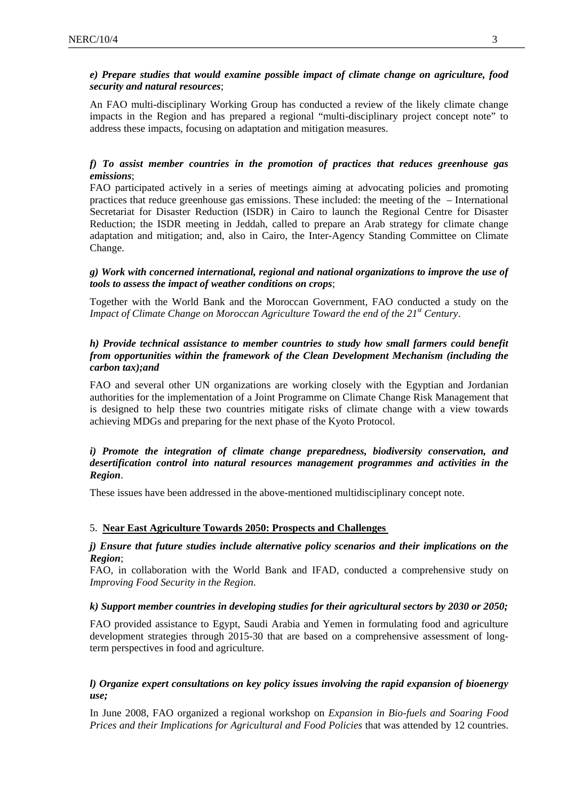## *e) Prepare studies that would examine possible impact of climate change on agriculture, food security and natural resources*;

An FAO multi-disciplinary Working Group has conducted a review of the likely climate change impacts in the Region and has prepared a regional "multi-disciplinary project concept note" to address these impacts, focusing on adaptation and mitigation measures.

## *f) To assist member countries in the promotion of practices that reduces greenhouse gas emissions*;

FAO participated actively in a series of meetings aiming at advocating policies and promoting practices that reduce greenhouse gas emissions. These included: the meeting of the – International Secretariat for Disaster Reduction (ISDR) in Cairo to launch the Regional Centre for Disaster Reduction; the ISDR meeting in Jeddah, called to prepare an Arab strategy for climate change adaptation and mitigation; and, also in Cairo, the Inter-Agency Standing Committee on Climate Change.

## *g) Work with concerned international, regional and national organizations to improve the use of tools to assess the impact of weather conditions on crops*;

Together with the World Bank and the Moroccan Government, FAO conducted a study on the *Impact of Climate Change on Moroccan Agriculture Toward the end of the 21<sup>st</sup> Century.* 

## *h) Provide technical assistance to member countries to study how small farmers could benefit from opportunities within the framework of the Clean Development Mechanism (including the carbon tax);and*

FAO and several other UN organizations are working closely with the Egyptian and Jordanian authorities for the implementation of a Joint Programme on Climate Change Risk Management that is designed to help these two countries mitigate risks of climate change with a view towards achieving MDGs and preparing for the next phase of the Kyoto Protocol.

## *i) Promote the integration of climate change preparedness, biodiversity conservation, and desertification control into natural resources management programmes and activities in the Region*.

These issues have been addressed in the above-mentioned multidisciplinary concept note.

## 5. **Near East Agriculture Towards 2050: Prospects and Challenges**

## *j) Ensure that future studies include alternative policy scenarios and their implications on the Region*;

FAO, in collaboration with the World Bank and IFAD, conducted a comprehensive study on *Improving Food Security in the Region*.

## *k) Support member countries in developing studies for their agricultural sectors by 2030 or 2050;*

FAO provided assistance to Egypt, Saudi Arabia and Yemen in formulating food and agriculture development strategies through 2015-30 that are based on a comprehensive assessment of longterm perspectives in food and agriculture.

## *l) Organize expert consultations on key policy issues involving the rapid expansion of bioenergy use;*

In June 2008, FAO organized a regional workshop on *Expansion in Bio-fuels and Soaring Food Prices and their Implications for Agricultural and Food Policies* that was attended by 12 countries.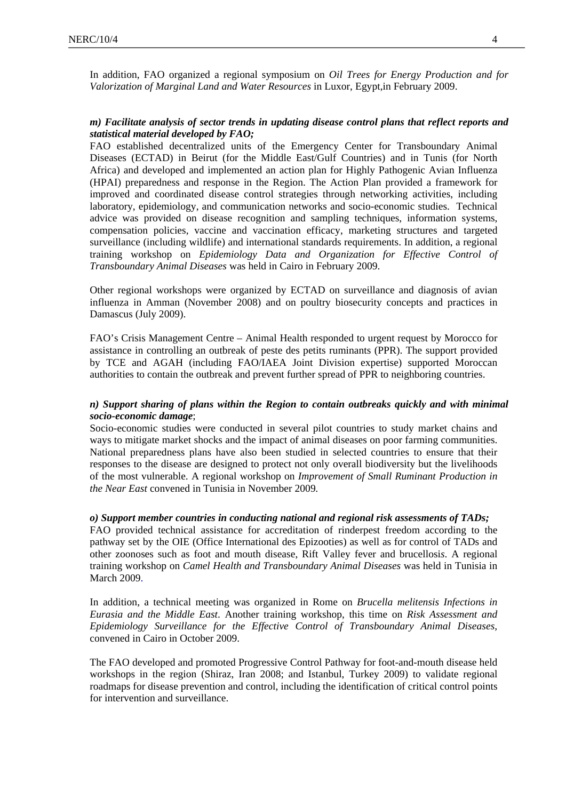In addition, FAO organized a regional symposium on *Oil Trees for Energy Production and for Valorization of Marginal Land and Water Resources* in Luxor, Egypt,in February 2009.

## *m) Facilitate analysis of sector trends in updating disease control plans that reflect reports and statistical material developed by FAO;*

FAO established decentralized units of the Emergency Center for Transboundary Animal Diseases (ECTAD) in Beirut (for the Middle East/Gulf Countries) and in Tunis (for North Africa) and developed and implemented an action plan for Highly Pathogenic Avian Influenza (HPAI) preparedness and response in the Region. The Action Plan provided a framework for improved and coordinated disease control strategies through networking activities, including laboratory, epidemiology, and communication networks and socio-economic studies. Technical advice was provided on disease recognition and sampling techniques, information systems, compensation policies, vaccine and vaccination efficacy, marketing structures and targeted surveillance (including wildlife) and international standards requirements. In addition, a regional training workshop on *Epidemiology Data and Organization for Effective Control of Transboundary Animal Diseases* was held in Cairo in February 2009.

Other regional workshops were organized by ECTAD on surveillance and diagnosis of avian influenza in Amman (November 2008) and on poultry biosecurity concepts and practices in Damascus (July 2009).

FAO's Crisis Management Centre – Animal Health responded to urgent request by Morocco for assistance in controlling an outbreak of peste des petits ruminants (PPR). The support provided by TCE and AGAH (including FAO/IAEA Joint Division expertise) supported Moroccan authorities to contain the outbreak and prevent further spread of PPR to neighboring countries.

#### *n) Support sharing of plans within the Region to contain outbreaks quickly and with minimal socio-economic damage*;

Socio-economic studies were conducted in several pilot countries to study market chains and ways to mitigate market shocks and the impact of animal diseases on poor farming communities. National preparedness plans have also been studied in selected countries to ensure that their responses to the disease are designed to protect not only overall biodiversity but the livelihoods of the most vulnerable. A regional workshop on *Improvement of Small Ruminant Production in the Near East* convened in Tunisia in November 2009*.* 

*o) Support member countries in conducting national and regional risk assessments of TADs;*  FAO provided technical assistance for accreditation of rinderpest freedom according to the pathway set by the OIE (Office International des Epizooties) as well as for control of TADs and other zoonoses such as foot and mouth disease, Rift Valley fever and brucellosi*s*. A regional training workshop on *Camel Health and Transboundary Animal Diseases* was held in Tunisia in March 2009.

In addition, a technical meeting was organized in Rome on *Brucella melitensis Infections in Eurasia and the Middle East*. Another training workshop, this time on *Risk Assessment and Epidemiology Surveillance for the Effective Control of Transboundary Animal Diseases,*  convened in Cairo in October 2009.

The FAO developed and promoted Progressive Control Pathway for foot-and-mouth disease held workshops in the region (Shiraz, Iran 2008; and Istanbul, Turkey 2009) to validate regional roadmaps for disease prevention and control, including the identification of critical control points for intervention and surveillance.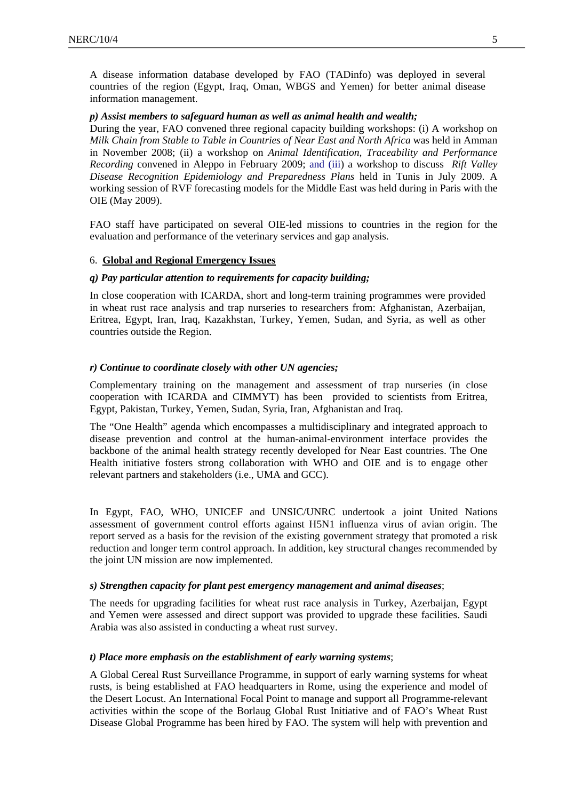A disease information database developed by FAO (TADinfo) was deployed in several countries of the region (Egypt, Iraq, Oman, WBGS and Yemen) for better animal disease information management.

#### *p) Assist members to safeguard human as well as animal health and wealth;*

During the year, FAO convened three regional capacity building workshops: (i) A workshop on *Milk Chain from Stable to Table in Countries of Near East and North Africa* was held in Amman in November 2008; (ii) a workshop on *Animal Identification, Traceability and Performance Recording* convened in Aleppo in February 2009; and (iii) a workshop to discuss *Rift Valley Disease Recognition Epidemiology and Preparedness Plans* held in Tunis in July 2009. A working session of RVF forecasting models for the Middle East was held during in Paris with the OIE (May 2009).

FAO staff have participated on several OIE-led missions to countries in the region for the evaluation and performance of the veterinary services and gap analysis.

#### 6. **Global and Regional Emergency Issues**

#### *q) Pay particular attention to requirements for capacity building;*

In close cooperation with ICARDA, short and long-term training programmes were provided in wheat rust race analysis and trap nurseries to researchers from: Afghanistan, Azerbaijan, Eritrea, Egypt, Iran, Iraq, Kazakhstan, Turkey, Yemen, Sudan, and Syria, as well as other countries outside the Region.

#### *r) Continue to coordinate closely with other UN agencies;*

Complementary training on the management and assessment of trap nurseries (in close cooperation with ICARDA and CIMMYT) has been provided to scientists from Eritrea, Egypt, Pakistan, Turkey, Yemen, Sudan, Syria, Iran, Afghanistan and Iraq.

The "One Health" agenda which encompasses a multidisciplinary and integrated approach to disease prevention and control at the human-animal-environment interface provides the backbone of the animal health strategy recently developed for Near East countries. The One Health initiative fosters strong collaboration with WHO and OIE and is to engage other relevant partners and stakeholders (i.e., UMA and GCC).

In Egypt, FAO, WHO, UNICEF and UNSIC/UNRC undertook a joint United Nations assessment of government control efforts against H5N1 influenza virus of avian origin. The report served as a basis for the revision of the existing government strategy that promoted a risk reduction and longer term control approach. In addition, key structural changes recommended by the joint UN mission are now implemented.

#### *s) Strengthen capacity for plant pest emergency management and animal diseases*;

The needs for upgrading facilities for wheat rust race analysis in Turkey, Azerbaijan, Egypt and Yemen were assessed and direct support was provided to upgrade these facilities. Saudi Arabia was also assisted in conducting a wheat rust survey.

#### *t) Place more emphasis on the establishment of early warning systems*;

A Global Cereal Rust Surveillance Programme, in support of early warning systems for wheat rusts, is being established at FAO headquarters in Rome, using the experience and model of the Desert Locust. An International Focal Point to manage and support all Programme-relevant activities within the scope of the Borlaug Global Rust Initiative and of FAO's Wheat Rust Disease Global Programme has been hired by FAO*.* The system will help with prevention and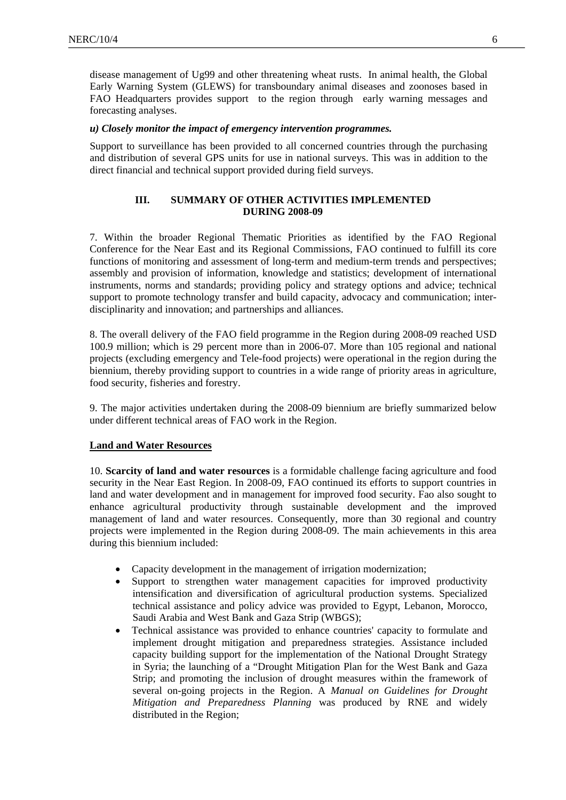disease management of Ug99 and other threatening wheat rusts. In animal health, the Global Early Warning System (GLEWS) for transboundary animal diseases and zoonoses based in FAO Headquarters provides support to the region through early warning messages and forecasting analyses.

#### *u) Closely monitor the impact of emergency intervention programmes.*

Support to surveillance has been provided to all concerned countries through the purchasing and distribution of several GPS units for use in national surveys. This was in addition to the direct financial and technical support provided during field surveys.

## **III. SUMMARY OF OTHER ACTIVITIES IMPLEMENTED DURING 2008-09**

7. Within the broader Regional Thematic Priorities as identified by the FAO Regional Conference for the Near East and its Regional Commissions, FAO continued to fulfill its core functions of monitoring and assessment of long-term and medium-term trends and perspectives; assembly and provision of information, knowledge and statistics; development of international instruments, norms and standards; providing policy and strategy options and advice; technical support to promote technology transfer and build capacity, advocacy and communication; interdisciplinarity and innovation; and partnerships and alliances.

8. The overall delivery of the FAO field programme in the Region during 2008-09 reached USD 100.9 million; which is 29 percent more than in 2006-07. More than 105 regional and national projects (excluding emergency and Tele-food projects) were operational in the region during the biennium, thereby providing support to countries in a wide range of priority areas in agriculture, food security, fisheries and forestry.

9. The major activities undertaken during the 2008-09 biennium are briefly summarized below under different technical areas of FAO work in the Region.

#### **Land and Water Resources**

10. **Scarcity of land and water resources** is a formidable challenge facing agriculture and food security in the Near East Region. In 2008-09, FAO continued its efforts to support countries in land and water development and in management for improved food security. Fao also sought to enhance agricultural productivity through sustainable development and the improved management of land and water resources. Consequently, more than 30 regional and country projects were implemented in the Region during 2008-09. The main achievements in this area during this biennium included:

- Capacity development in the management of irrigation modernization;
- Support to strengthen water management capacities for improved productivity intensification and diversification of agricultural production systems. Specialized technical assistance and policy advice was provided to Egypt, Lebanon, Morocco, Saudi Arabia and West Bank and Gaza Strip (WBGS);
- Technical assistance was provided to enhance countries' capacity to formulate and implement drought mitigation and preparedness strategies. Assistance included capacity building support for the implementation of the National Drought Strategy in Syria; the launching of a "Drought Mitigation Plan for the West Bank and Gaza Strip; and promoting the inclusion of drought measures within the framework of several on-going projects in the Region. A *Manual on Guidelines for Drought Mitigation and Preparedness Planning* was produced by RNE and widely distributed in the Region;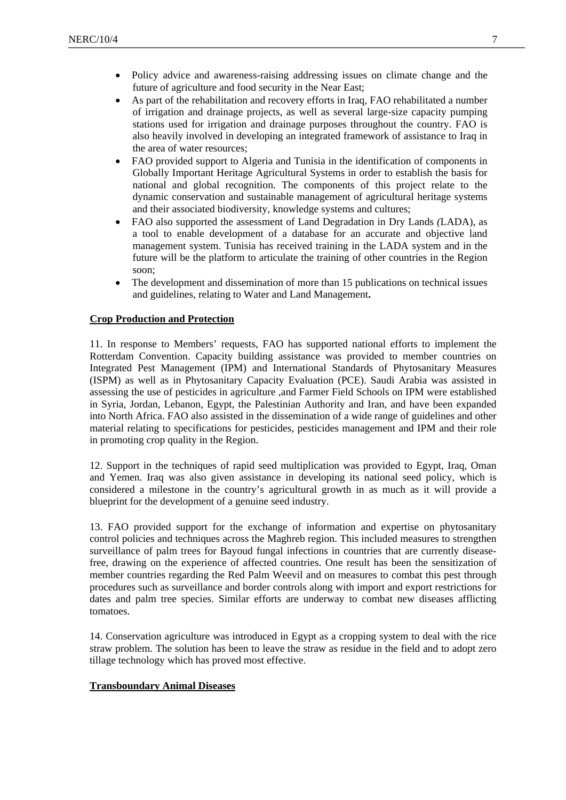- Policy advice and awareness-raising addressing issues on climate change and the future of agriculture and food security in the Near East;
- As part of the rehabilitation and recovery efforts in Iraq, FAO rehabilitated a number of irrigation and drainage projects, as well as several large-size capacity pumping stations used for irrigation and drainage purposes throughout the country. FAO is also heavily involved in developing an integrated framework of assistance to Iraq in the area of water resources;
- FAO provided support to Algeria and Tunisia in the identification of components in Globally Important Heritage Agricultural Systems in order to establish the basis for national and global recognition. The components of this project relate to the dynamic conservation and sustainable management of agricultural heritage systems and their associated biodiversity, knowledge systems and cultures;
- FAO also supported the assessment of Land Degradation in Dry Lands *(*LADA), as a tool to enable development of a database for an accurate and objective land management system. Tunisia has received training in the LADA system and in the future will be the platform to articulate the training of other countries in the Region soon;
- The development and dissemination of more than 15 publications on technical issues and guidelines, relating to Water and Land Management**.**

#### **Crop Production and Protection**

11. In response to Members' requests, FAO has supported national efforts to implement the Rotterdam Convention. Capacity building assistance was provided to member countries on Integrated Pest Management (IPM) and International Standards of Phytosanitary Measures (ISPM) as well as in Phytosanitary Capacity Evaluation (PCE). Saudi Arabia was assisted in assessing the use of pesticides in agriculture ,and Farmer Field Schools on IPM were established in Syria, Jordan, Lebanon, Egypt, the Palestinian Authority and Iran, and have been expanded into North Africa. FAO also assisted in the dissemination of a wide range of guidelines and other material relating to specifications for pesticides, pesticides management and IPM and their role in promoting crop quality in the Region.

12. Support in the techniques of rapid seed multiplication was provided to Egypt, Iraq, Oman and Yemen. Iraq was also given assistance in developing its national seed policy, which is considered a milestone in the country's agricultural growth in as much as it will provide a blueprint for the development of a genuine seed industry.

13. FAO provided support for the exchange of information and expertise on phytosanitary control policies and techniques across the Maghreb region. This included measures to strengthen surveillance of palm trees for Bayoud fungal infections in countries that are currently diseasefree, drawing on the experience of affected countries. One result has been the sensitization of member countries regarding the Red Palm Weevil and on measures to combat this pest through procedures such as surveillance and border controls along with import and export restrictions for dates and palm tree species. Similar efforts are underway to combat new diseases afflicting tomatoes.

14. Conservation agriculture was introduced in Egypt as a cropping system to deal with the rice straw problem. The solution has been to leave the straw as residue in the field and to adopt zero tillage technology which has proved most effective.

#### **Transboundary Animal Diseases**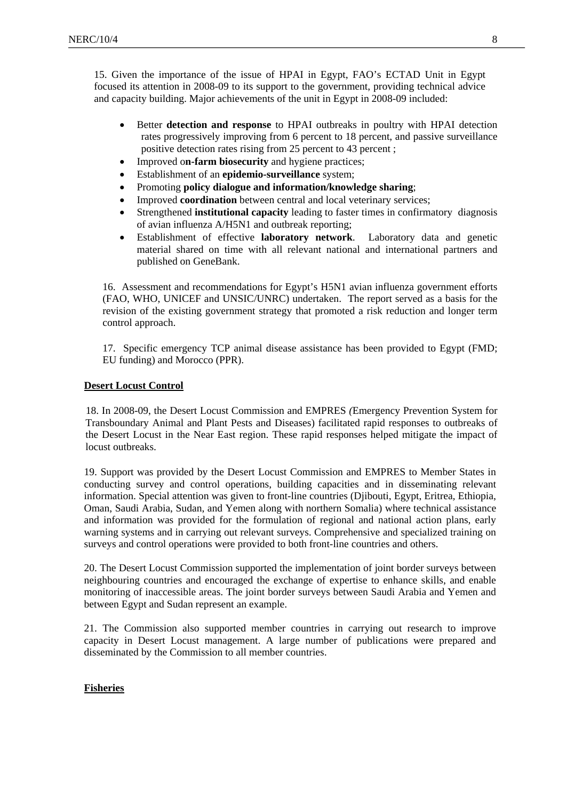15. Given the importance of the issue of HPAI in Egypt, FAO's ECTAD Unit in Egypt focused its attention in 2008-09 to its support to the government, providing technical advice and capacity building. Major achievements of the unit in Egypt in 2008-09 included:

- Better **detection and response** to HPAI outbreaks in poultry with HPAI detection rates progressively improving from 6 percent to 18 percent, and passive surveillance positive detection rates rising from 25 percent to 43 percent ;
- Improved o**n-farm biosecurity** and hygiene practices;
- Establishment of an **epidemio-surveillance** system;
- Promoting **policy dialogue and information/knowledge sharing**;
- Improved **coordination** between central and local veterinary services;
- Strengthened **institutional capacity** leading to faster times in confirmatory diagnosis of avian influenza A/H5N1 and outbreak reporting;
- Establishment of effective **laboratory network**. Laboratory data and genetic material shared on time with all relevant national and international partners and published on GeneBank.

16. Assessment and recommendations for Egypt's H5N1 avian influenza government efforts (FAO, WHO, UNICEF and UNSIC/UNRC) undertaken. The report served as a basis for the revision of the existing government strategy that promoted a risk reduction and longer term control approach.

17. Specific emergency TCP animal disease assistance has been provided to Egypt (FMD; EU funding) and Morocco (PPR).

#### **Desert Locust Control**

 18. In 2008-09, the Desert Locust Commission and EMPRES *(*Emergency Prevention System for Transboundary Animal and Plant Pests and Diseases) facilitated rapid responses to outbreaks of the Desert Locust in the Near East region. These rapid responses helped mitigate the impact of locust outbreaks.

19. Support was provided by the Desert Locust Commission and EMPRES to Member States in conducting survey and control operations, building capacities and in disseminating relevant information. Special attention was given to front-line countries (Djibouti, Egypt, Eritrea*,* Ethiopia, Oman, Saudi Arabia, Sudan, and Yemen along with northern Somalia) where technical assistance and information was provided for the formulation of regional and national action plans, early warning systems and in carrying out relevant surveys. Comprehensive and specialized training on surveys and control operations were provided to both front-line countries and others.

20. The Desert Locust Commission supported the implementation of joint border surveys between neighbouring countries and encouraged the exchange of expertise to enhance skills, and enable monitoring of inaccessible areas. The joint border surveys between Saudi Arabia and Yemen and between Egypt and Sudan represent an example.

21. The Commission also supported member countries in carrying out research to improve capacity in Desert Locust management. A large number of publications were prepared and disseminated by the Commission to all member countries.

## **Fisheries**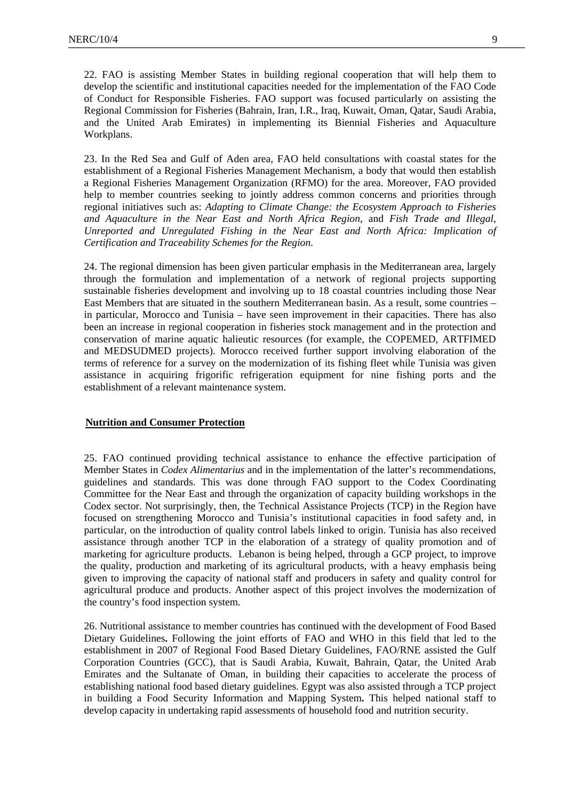22. FAO is assisting Member States in building regional cooperation that will help them to develop the scientific and institutional capacities needed for the implementation of the FAO Code of Conduct for Responsible Fisheries. FAO support was focused particularly on assisting the Regional Commission for Fisheries (Bahrain, Iran, I.R., Iraq, Kuwait, Oman, Qatar, Saudi Arabia, and the United Arab Emirates) in implementing its Biennial Fisheries and Aquaculture Workplans.

23. In the Red Sea and Gulf of Aden area, FAO held consultations with coastal states for the establishment of a Regional Fisheries Management Mechanism, a body that would then establish a Regional Fisheries Management Organization (RFMO) for the area. Moreover, FAO provided help to member countries seeking to jointly address common concerns and priorities through regional initiatives such as: *Adapting to Climate Change: the Ecosystem Approach to Fisheries and Aquaculture in the Near East and North Africa Region*, and *Fish Trade and Illegal, Unreported and Unregulated Fishing in the Near East and North Africa: Implication of Certification and Traceability Schemes for the Region*.

24. The regional dimension has been given particular emphasis in the Mediterranean area, largely through the formulation and implementation of a network of regional projects supporting sustainable fisheries development and involving up to 18 coastal countries including those Near East Members that are situated in the southern Mediterranean basin. As a result, some countries – in particular, Morocco and Tunisia – have seen improvement in their capacities. There has also been an increase in regional cooperation in fisheries stock management and in the protection and conservation of marine aquatic halieutic resources (for example, the COPEMED, ARTFIMED and MEDSUDMED projects). Morocco received further support involving elaboration of the terms of reference for a survey on the modernization of its fishing fleet while Tunisia was given assistance in acquiring frigorific refrigeration equipment for nine fishing ports and the establishment of a relevant maintenance system.

## **Nutrition and Consumer Protection**

 25. FAO continued providing technical assistance to enhance the effective participation of Member States in *Codex Alimentarius* and in the implementation of the latter's recommendations, guidelines and standards. This was done through FAO support to the Codex Coordinating Committee for the Near East and through the organization of capacity building workshops in the Codex sector. Not surprisingly, then, the Technical Assistance Projects (TCP) in the Region have focused on strengthening Morocco and Tunisia's institutional capacities in food safety and, in particular, on the introduction of quality control labels linked to origin. Tunisia has also received assistance through another TCP in the elaboration of a strategy of quality promotion and of marketing for agriculture products. Lebanon is being helped, through a GCP project, to improve the quality, production and marketing of its agricultural products, with a heavy emphasis being given to improving the capacity of national staff and producers in safety and quality control for agricultural produce and products. Another aspect of this project involves the modernization of the country's food inspection system.

26. Nutritional assistance to member countries has continued with the development of Food Based Dietary Guidelines**.** Following the joint efforts of FAO and WHO in this field that led to the establishment in 2007 of Regional Food Based Dietary Guidelines, FAO/RNE assisted the Gulf Corporation Countries (GCC), that is Saudi Arabia, Kuwait, Bahrain, Qatar, the United Arab Emirates and the Sultanate of Oman, in building their capacities to accelerate the process of establishing national food based dietary guidelines. Egypt was also assisted through a TCP project in building a Food Security Information and Mapping System**.** This helped national staff to develop capacity in undertaking rapid assessments of household food and nutrition security.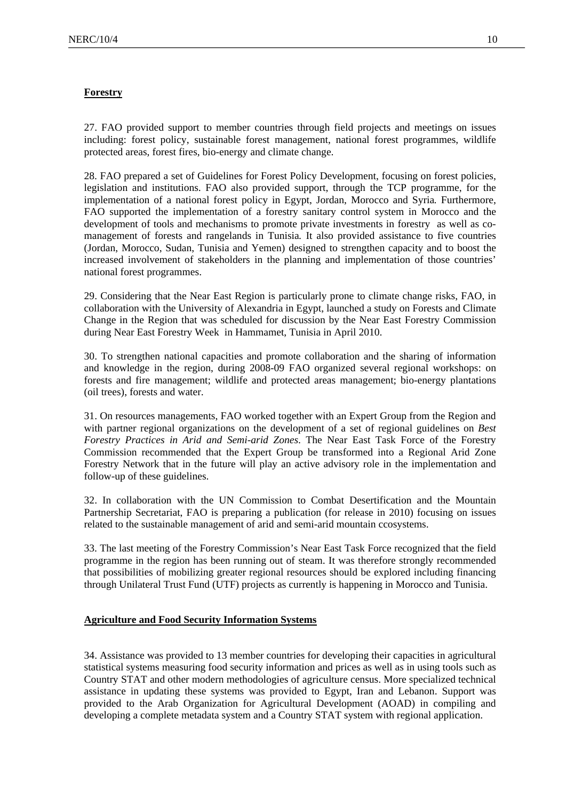#### **Forestry**

27. FAO provided support to member countries through field projects and meetings on issues including: forest policy, sustainable forest management, national forest programmes, wildlife protected areas, forest fires, bio-energy and climate change.

28. FAO prepared a set of Guidelines for Forest Policy Development, focusing on forest policies, legislation and institutions. FAO also provided support, through the TCP programme, for the implementation of a national forest policy in Egypt, Jordan, Morocco and Syria*.* Furthermore, FAO supported the implementation of a forestry sanitary control system in Morocco and the development of tools and mechanisms to promote private investments in forestry as well as comanagement of forests and rangelands in Tunisia*.* It also provided assistance to five countries (Jordan, Morocco, Sudan, Tunisia and Yemen) designed to strengthen capacity and to boost the increased involvement of stakeholders in the planning and implementation of those countries' national forest programmes.

29. Considering that the Near East Region is particularly prone to climate change risks, FAO, in collaboration with the University of Alexandria in Egypt, launched a study on Forests and Climate Change in the Region that was scheduled for discussion by the Near East Forestry Commission during Near East Forestry Week in Hammamet, Tunisia in April 2010.

30. To strengthen national capacities and promote collaboration and the sharing of information and knowledge in the region, during 2008-09 FAO organized several regional workshops: on forests and fire management; wildlife and protected areas management; bio-energy plantations (oil trees), forests and water.

31. On resources managements, FAO worked together with an Expert Group from the Region and with partner regional organizations on the development of a set of regional guidelines on *Best Forestry Practices in Arid and Semi-arid Zones*. The Near East Task Force of the Forestry Commission recommended that the Expert Group be transformed into a Regional Arid Zone Forestry Network that in the future will play an active advisory role in the implementation and follow-up of these guidelines.

32. In collaboration with the UN Commission to Combat Desertification and the Mountain Partnership Secretariat, FAO is preparing a publication (for release in 2010) focusing on issues related to the sustainable management of arid and semi-arid mountain ccosystems.

33. The last meeting of the Forestry Commission's Near East Task Force recognized that the field programme in the region has been running out of steam. It was therefore strongly recommended that possibilities of mobilizing greater regional resources should be explored including financing through Unilateral Trust Fund (UTF) projects as currently is happening in Morocco and Tunisia.

## **Agriculture and Food Security Information Systems**

34. Assistance was provided to 13 member countries for developing their capacities in agricultural statistical systems measuring food security information and prices as well as in using tools such as Country STAT and other modern methodologies of agriculture census. More specialized technical assistance in updating these systems was provided to Egypt, Iran and Lebanon. Support was provided to the Arab Organization for Agricultural Development (AOAD) in compiling and developing a complete metadata system and a Country STAT system with regional application.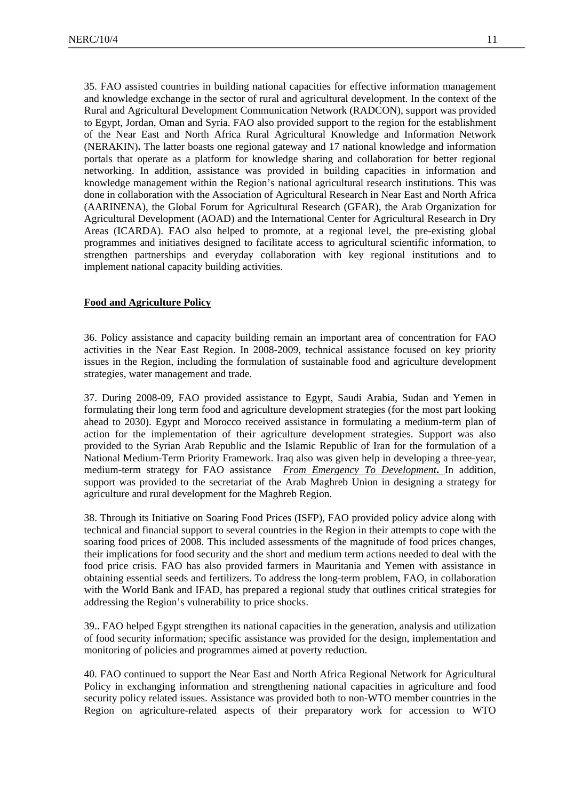35. FAO assisted countries in building national capacities for effective information management and knowledge exchange in the sector of rural and agricultural development. In the context of the Rural and Agricultural Development Communication Network (RADCON), support was provided to Egypt, Jordan, Oman and Syria. FAO also provided support to the region for the establishment of the Near East and North Africa Rural Agricultural Knowledge and Information Network (NERAKIN)**.** The latter boasts one regional gateway and 17 national knowledge and information portals that operate as a platform for knowledge sharing and collaboration for better regional networking. In addition, assistance was provided in building capacities in information and knowledge management within the Region's national agricultural research institutions. This was done in collaboration with the Association of Agricultural Research in Near East and North Africa (AARINENA), the Global Forum for Agricultural Research (GFAR), the Arab Organization for Agricultural Development (AOAD) and the International Center for Agricultural Research in Dry Areas (ICARDA). FAO also helped to promote, at a regional level, the pre-existing global programmes and initiatives designed to facilitate access to agricultural scientific information, to strengthen partnerships and everyday collaboration with key regional institutions and to implement national capacity building activities.

#### **Food and Agriculture Policy**

36. Policy assistance and capacity building remain an important area of concentration for FAO activities in the Near East Region. In 2008-2009, technical assistance focused on key priority issues in the Region, including the formulation of sustainable food and agriculture development strategies, water management and trade*.* 

37. During 2008-09, FAO provided assistance to Egypt, Saudi Arabia, Sudan and Yemen in formulating their long term food and agriculture development strategies (for the most part looking ahead to 2030). Egypt and Morocco received assistance in formulating a medium-term plan of action for the implementation of their agriculture development strategies. Support was also provided to the Syrian Arab Republic and the Islamic Republic of Iran for the formulation of a National Medium-Term Priority Framework. Iraq also was given help in developing a three-year, medium-term strategy for FAO assistance *From Emergency To Development***.** In addition, support was provided to the secretariat of the Arab Maghreb Union in designing a strategy for agriculture and rural development for the Maghreb Region.

38. Through its Initiative on Soaring Food Prices (ISFP), FAO provided policy advice along with technical and financial support to several countries in the Region in their attempts to cope with the soaring food prices of 2008. This included assessments of the magnitude of food prices changes, their implications for food security and the short and medium term actions needed to deal with the food price crisis. FAO has also provided farmers in Mauritania and Yemen with assistance in obtaining essential seeds and fertilizers. To address the long-term problem, FAO, in collaboration with the World Bank and IFAD, has prepared a regional study that outlines critical strategies for addressing the Region's vulnerability to price shocks.

39.. FAO helped Egypt strengthen its national capacities in the generation, analysis and utilization of food security information; specific assistance was provided for the design, implementation and monitoring of policies and programmes aimed at poverty reduction.

40. FAO continued to support the Near East and North Africa Regional Network for Agricultural Policy in exchanging information and strengthening national capacities in agriculture and food security policy related issues. Assistance was provided both to non-WTO member countries in the Region on agriculture-related aspects of their preparatory work for accession to WTO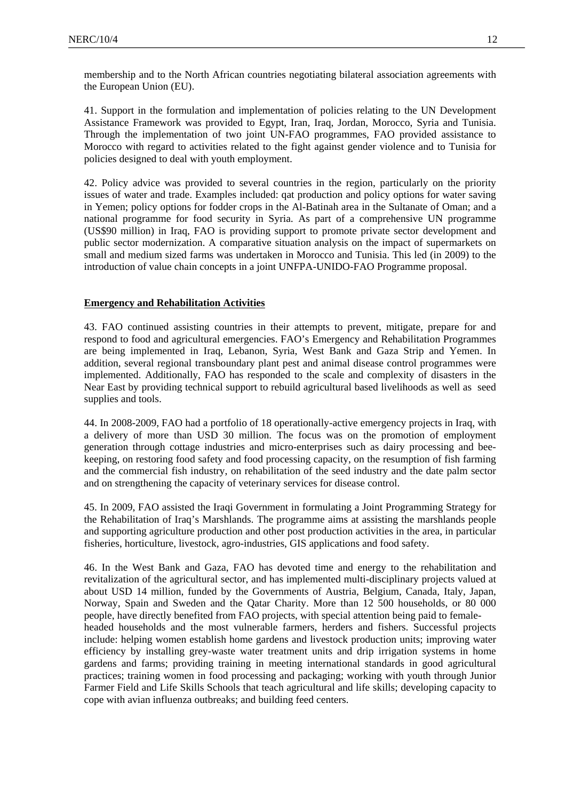41. Support in the formulation and implementation of policies relating to the UN Development Assistance Framework was provided to Egypt, Iran, Iraq, Jordan, Morocco, Syria and Tunisia. Through the implementation of two joint UN-FAO programmes, FAO provided assistance to Morocco with regard to activities related to the fight against gender violence and to Tunisia for policies designed to deal with youth employment.

42. Policy advice was provided to several countries in the region, particularly on the priority issues of water and trade. Examples included: qat production and policy options for water saving in Yemen; policy options for fodder crops in the Al-Batinah area in the Sultanate of Oman; and a national programme for food security in Syria. As part of a comprehensive UN programme (US\$90 million) in Iraq, FAO is providing support to promote private sector development and public sector modernization. A comparative situation analysis on the impact of supermarkets on small and medium sized farms was undertaken in Morocco and Tunisia. This led (in 2009) to the introduction of value chain concepts in a joint UNFPA-UNIDO-FAO Programme proposal.

## **Emergency and Rehabilitation Activities**

43. FAO continued assisting countries in their attempts to prevent, mitigate, prepare for and respond to food and agricultural emergencies. FAO's Emergency and Rehabilitation Programmes are being implemented in Iraq, Lebanon, Syria, West Bank and Gaza Strip and Yemen. In addition, several regional transboundary plant pest and animal disease control programmes were implemented. Additionally, FAO has responded to the scale and complexity of disasters in the Near East by providing technical support to rebuild agricultural based livelihoods as well as seed supplies and tools.

44. In 2008-2009, FAO had a portfolio of 18 operationally-active emergency projects in Iraq, with a delivery of more than USD 30 million. The focus was on the promotion of employment generation through cottage industries and micro-enterprises such as dairy processing and beekeeping, on restoring food safety and food processing capacity, on the resumption of fish farming and the commercial fish industry, on rehabilitation of the seed industry and the date palm sector and on strengthening the capacity of veterinary services for disease control.

45. In 2009, FAO assisted the Iraqi Government in formulating a Joint Programming Strategy for the Rehabilitation of Iraq's Marshlands. The programme aims at assisting the marshlands people and supporting agriculture production and other post production activities in the area, in particular fisheries, horticulture, livestock, agro-industries, GIS applications and food safety.

46. In the West Bank and Gaza, FAO has devoted time and energy to the rehabilitation and revitalization of the agricultural sector, and has implemented multi-disciplinary projects valued at about USD 14 million, funded by the Governments of Austria, Belgium, Canada, Italy, Japan, Norway, Spain and Sweden and the Qatar Charity. More than 12 500 households, or 80 000 people, have directly benefited from FAO projects, with special attention being paid to femaleheaded households and the most vulnerable farmers, herders and fishers. Successful projects include: helping women establish home gardens and livestock production units; improving water efficiency by installing grey-waste water treatment units and drip irrigation systems in home gardens and farms; providing training in meeting international standards in good agricultural practices; training women in food processing and packaging; working with youth through Junior Farmer Field and Life Skills Schools that teach agricultural and life skills; developing capacity to cope with avian influenza outbreaks; and building feed centers.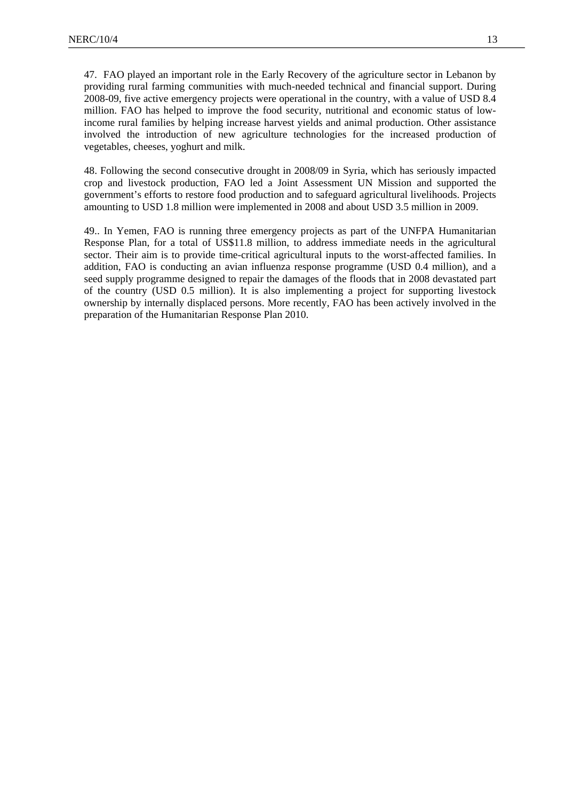47. FAO played an important role in the Early Recovery of the agriculture sector in Lebanon by providing rural farming communities with much-needed technical and financial support. During 2008-09, five active emergency projects were operational in the country, with a value of USD 8.4 million. FAO has helped to improve the food security, nutritional and economic status of lowincome rural families by helping increase harvest yields and animal production. Other assistance involved the introduction of new agriculture technologies for the increased production of vegetables, cheeses, yoghurt and milk.

48. Following the second consecutive drought in 2008/09 in Syria, which has seriously impacted crop and livestock production, FAO led a Joint Assessment UN Mission and supported the government's efforts to restore food production and to safeguard agricultural livelihoods. Projects amounting to USD 1.8 million were implemented in 2008 and about USD 3.5 million in 2009.

49.. In Yemen, FAO is running three emergency projects as part of the UNFPA Humanitarian Response Plan, for a total of US\$11.8 million, to address immediate needs in the agricultural sector. Their aim is to provide time-critical agricultural inputs to the worst-affected families. In addition, FAO is conducting an avian influenza response programme (USD 0.4 million), and a seed supply programme designed to repair the damages of the floods that in 2008 devastated part of the country (USD 0.5 million). It is also implementing a project for supporting livestock ownership by internally displaced persons. More recently, FAO has been actively involved in the preparation of the Humanitarian Response Plan 2010.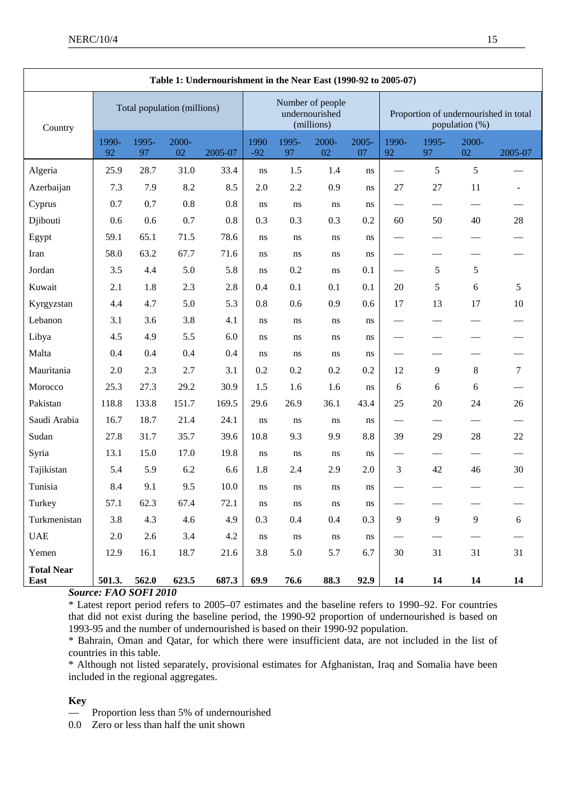| Table 1: Undernourishment in the Near East (1990-92 to 2005-07) |                             |             |             |         |                                                  |             |             |             |                                                         |                          |                          |         |
|-----------------------------------------------------------------|-----------------------------|-------------|-------------|---------|--------------------------------------------------|-------------|-------------|-------------|---------------------------------------------------------|--------------------------|--------------------------|---------|
| Country                                                         | Total population (millions) |             |             |         | Number of people<br>undernourished<br>(millions) |             |             |             | Proportion of undernourished in total<br>population (%) |                          |                          |         |
|                                                                 | 1990-<br>92                 | 1995-<br>97 | 2000-<br>02 | 2005-07 | 1990<br>$-92$                                    | 1995-<br>97 | 2000-<br>02 | 2005-<br>07 | 1990-<br>92                                             | 1995-<br>97              | 2000-<br>02              | 2005-07 |
| Algeria                                                         | 25.9                        | 28.7        | 31.0        | 33.4    | ns                                               | 1.5         | 1.4         | ns          |                                                         | 5                        | 5                        |         |
| Azerbaijan                                                      | 7.3                         | 7.9         | $8.2\,$     | 8.5     | 2.0                                              | 2.2         | 0.9         | ns          | 27                                                      | $27\,$                   | 11                       |         |
| Cyprus                                                          | 0.7                         | 0.7         | 0.8         | 0.8     | ns                                               | $\rm ns$    | $\rm ns$    | ns          |                                                         |                          |                          |         |
| Djibouti                                                        | 0.6                         | 0.6         | 0.7         | 0.8     | 0.3                                              | 0.3         | 0.3         | 0.2         | 60                                                      | 50                       | 40                       | 28      |
| Egypt                                                           | 59.1                        | 65.1        | 71.5        | 78.6    | ns                                               | ns          | ns          | ns          | $\overbrace{\phantom{13333}}$                           | $\overline{\phantom{0}}$ |                          |         |
| Iran                                                            | 58.0                        | 63.2        | 67.7        | 71.6    | ns                                               | ns          | ns          | ns          |                                                         |                          |                          |         |
| Jordan                                                          | 3.5                         | 4.4         | 5.0         | 5.8     | ns                                               | 0.2         | ns          | 0.1         |                                                         | 5                        | $\sqrt{5}$               |         |
| Kuwait                                                          | 2.1                         | 1.8         | 2.3         | 2.8     | 0.4                                              | 0.1         | 0.1         | 0.1         | 20                                                      | 5                        | $\sqrt{6}$               | 5       |
| Kyrgyzstan                                                      | 4.4                         | 4.7         | 5.0         | 5.3     | 0.8                                              | 0.6         | 0.9         | 0.6         | 17                                                      | 13                       | 17                       | 10      |
| Lebanon                                                         | 3.1                         | 3.6         | 3.8         | 4.1     | ns                                               | ns          | ns          | ns          |                                                         |                          |                          |         |
| Libya                                                           | 4.5                         | 4.9         | 5.5         | 6.0     | ns                                               | ns          | ns          | ns          |                                                         |                          |                          |         |
| Malta                                                           | 0.4                         | 0.4         | 0.4         | 0.4     | ns                                               | ns          | ns          | ns          |                                                         |                          |                          |         |
| Mauritania                                                      | 2.0                         | 2.3         | 2.7         | 3.1     | 0.2                                              | 0.2         | 0.2         | 0.2         | 12                                                      | 9                        | $\,8\,$                  | $\tau$  |
| Morocco                                                         | 25.3                        | 27.3        | 29.2        | 30.9    | 1.5                                              | 1.6         | 1.6         | ns          | 6                                                       | $6\,$                    | 6                        |         |
| Pakistan                                                        | 118.8                       | 133.8       | 151.7       | 169.5   | 29.6                                             | 26.9        | 36.1        | 43.4        | 25                                                      | 20                       | 24                       | 26      |
| Saudi Arabia                                                    | 16.7                        | 18.7        | 21.4        | 24.1    | ns                                               | ns          | ns          | ns          |                                                         |                          |                          |         |
| Sudan                                                           | 27.8                        | 31.7        | 35.7        | 39.6    | 10.8                                             | 9.3         | 9.9         | 8.8         | 39                                                      | 29                       | 28                       | 22      |
| Syria                                                           | 13.1                        | 15.0        | 17.0        | 19.8    | ns                                               | ns          | ns          | ns          | $\overbrace{\qquad \qquad }^{}$                         |                          | $\overline{\phantom{0}}$ |         |
| Tajikistan                                                      | 5.4                         | 5.9         | 6.2         | 6.6     | 1.8                                              | 2.4         | 2.9         | 2.0         | 3                                                       | 42                       | 46                       | 30      |
| Tunisia                                                         | 8.4                         | 9.1         | 9.5         | 10.0    | ns                                               | ns          | ns          | ns          |                                                         |                          |                          |         |
| Turkey                                                          | 57.1                        | 62.3        | 67.4        | 72.1    | $\bf ns$                                         | $\rm ns$    | $\rm ns$    | $\rm ns$    |                                                         | $\overline{\phantom{0}}$ |                          |         |
| Turkmenistan                                                    | 3.8                         | 4.3         | 4.6         | 4.9     | 0.3                                              | $0.4\,$     | 0.4         | 0.3         | 9                                                       | 9                        | $\overline{9}$           | 6       |
| $_{\rm UAE}$                                                    | 2.0                         | 2.6         | 3.4         | 4.2     | ns                                               | $\bf ns$    | $\rm ns$    | $\rm ns$    |                                                         |                          |                          |         |
| Yemen                                                           | 12.9                        | 16.1        | 18.7        | 21.6    | 3.8                                              | 5.0         | 5.7         | 6.7         | 30                                                      | 31                       | 31                       | 31      |
| <b>Total Near</b><br>East                                       | 501.3.                      | 562.0       | 623.5       | 687.3   | 69.9                                             | 76.6        | 88.3        | 92.9        | 14                                                      | 14                       | 14                       | 14      |

*Source: FAO SOFI 2010* 

\* Latest report period refers to 2005–07 estimates and the baseline refers to 1990–92. For countries that did not exist during the baseline period, the 1990-92 proportion of undernourished is based on 1993-95 and the number of undernourished is based on their 1990-92 population.

\* Bahrain, Oman and Qatar, for which there were insufficient data, are not included in the list of countries in this table.

\* Although not listed separately, provisional estimates for Afghanistan, Iraq and Somalia have been included in the regional aggregates.

## **Key**

Proportion less than 5% of undernourished

0.0 Zero or less than half the unit shown